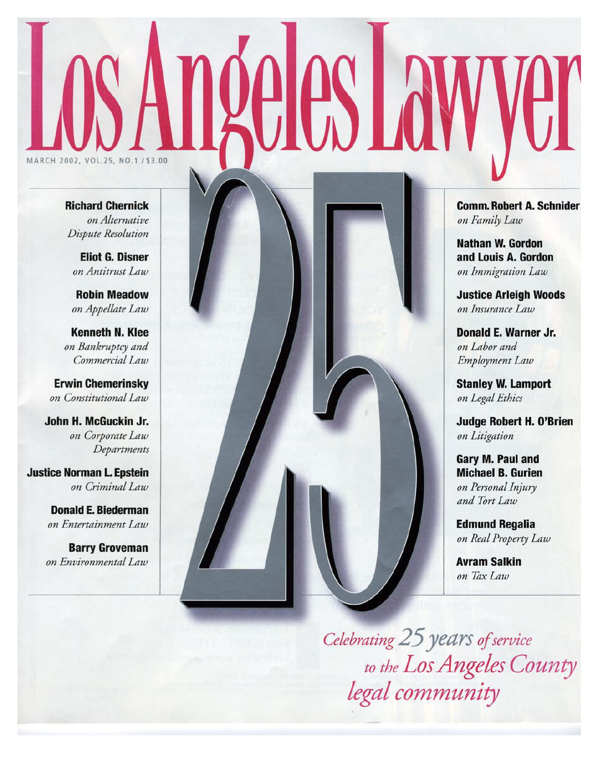# MARCH 2002, VOL.25, NO.1/\$3.00

**Richard Chernick** on Alternative Dispute Resolution

**Eliot G. Disner** on Antitrust Law

**Robin Meadow** on Appellate Law

**Kenneth N. Klee** on Bankruptcy and Commercial Law

**Erwin Chemerinsky** on Constitutional Law

John H. McGuckin Jr. on Corporate Law Departments

**Justice Norman L. Epstein** on Criminal Law

> **Donald E. Biederman** on Entertainment Law

**Barry Groveman** on Environmental Law



**Comm. Robert A. Schnider** on Family Law

**Nathan W. Gordon** and Louis A. Gordon on Immigration Law

**Justice Arleigh Woods** on Insurance Law

Donald E. Warner Jr. on Labor and Employment Law

**Stanley W. Lamport** on Legal Ethics

**Judge Robert H. O'Brien** on Litigation

**Gary M. Paul and Michael B. Gurien** on Personal Injury and Tort Law

**Edmund Regalia** on Real Property Law

**Avram Salkin** on Tax Law

Celebrating 25 years of service to the Los Angeles County legal community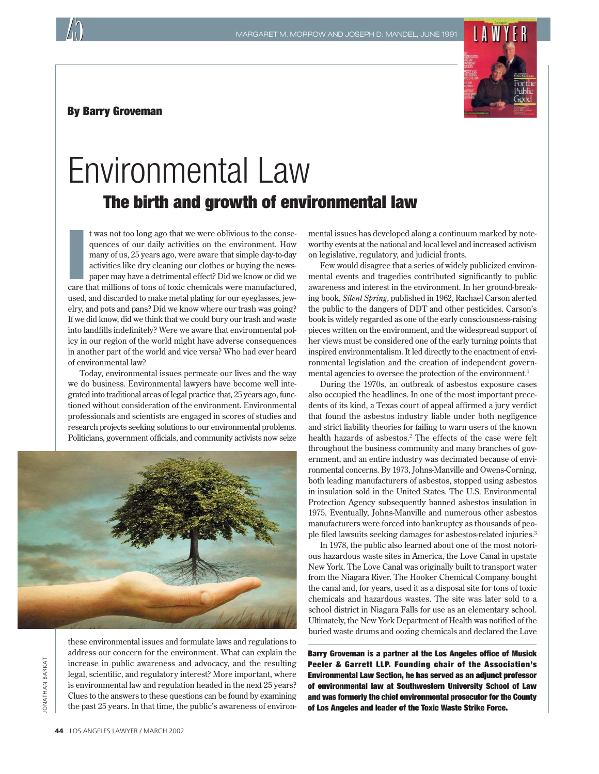#### By Barry Groveman



## Environmental Law The birth and growth of environmental law

t was not too long ago that we were oblivious to the consequences of our daily activities on the environment. How many of us, 25 years ago, were aware that simple day-to-day activities like dry cleaning our clothes or buyi t was not too long ago that we were oblivious to the consequences of our daily activities on the environment. How many of us, 25 years ago, were aware that simple day-to-day activities like dry cleaning our clothes or buying the newspaper may have a detrimental effect? Did we know or did we used, and discarded to make metal plating for our eyeglasses, jewelry, and pots and pans? Did we know where our trash was going? If we did know, did we think that we could bury our trash and waste into landfills indefinitely? Were we aware that environmental policy in our region of the world might have adverse consequences in another part of the world and vice versa? Who had ever heard of environmental law?

Today, environmental issues permeate our lives and the way we do business. Environmental lawyers have become well integrated into traditional areas of legal practice that, 25 years ago, functioned without consideration of the environment. Environmental professionals and scientists are engaged in scores of studies and research projects seeking solutions to our environmental problems. Politicians, government officials, and community activists now seize



**ONATHAN BARKAT** JONATHAN BARKAT

these environmental issues and formulate laws and regulations to address our concern for the environment. What can explain the increase in public awareness and advocacy, and the resulting legal, scientific, and regulatory interest? More important, where is environmental law and regulation headed in the next 25 years? Clues to the answers to these questions can be found by examining the past 25 years. In that time, the public's awareness of environmental issues has developed along a continuum marked by noteworthy events at the national and local level and increased activism on legislative, regulatory, and judicial fronts.

Few would disagree that a series of widely publicized environmental events and tragedies contributed significantly to public awareness and interest in the environment. In her ground-breaking book, *Silent Spring,* published in 1962, Rachael Carson alerted the public to the dangers of DDT and other pesticides. Carson's book is widely regarded as one of the early consciousness-raising pieces written on the environment, and the widespread support of her views must be considered one of the early turning points that inspired environmentalism. It led directly to the enactment of environmental legislation and the creation of independent governmental agencies to oversee the protection of the environment.<sup>1</sup>

During the 1970s, an outbreak of asbestos exposure cases also occupied the headlines. In one of the most important precedents of its kind, a Texas court of appeal affirmed a jury verdict that found the asbestos industry liable under both negligence and strict liability theories for failing to warn users of the known health hazards of asbestos.<sup>2</sup> The effects of the case were felt throughout the business community and many branches of government, and an entire industry was decimated because of environmental concerns. By 1973, Johns-Manville and Owens-Corning, both leading manufacturers of asbestos, stopped using asbestos in insulation sold in the United States. The U.S. Environmental Protection Agency subsequently banned asbestos insulation in 1975. Eventually, Johns-Manville and numerous other asbestos manufacturers were forced into bankruptcy as thousands of people filed lawsuits seeking damages for asbestos-related injuries.3

In 1978, the public also learned about one of the most notorious hazardous waste sites in America, the Love Canal in upstate New York. The Love Canal was originally built to transport water from the Niagara River. The Hooker Chemical Company bought the canal and, for years, used it as a disposal site for tons of toxic chemicals and hazardous wastes. The site was later sold to a school district in Niagara Falls for use as an elementary school. Ultimately, the New York Department of Health was notified of the buried waste drums and oozing chemicals and declared the Love

Barry Groveman is a partner at the Los Angeles office of Musick Peeler & Garrett LLP. Founding chair of the Association's Environmental Law Section, he has served as an adjunct professor of environmental law at Southwestern University School of Law and was formerly the chief environmental prosecutor for the County of Los Angeles and leader of the Toxic Waste Strike Force.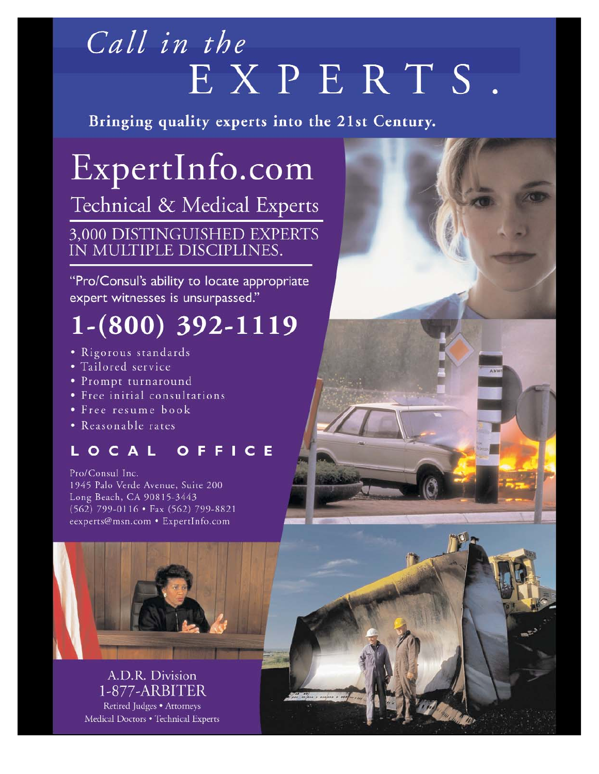# Call in the EXPERTS.

 $\frac{1}{2}$  surface

Bringing quality experts into the 21st Century.

ExpertInfo.com Technical & Medical Experts 3,000 DISTINGUISHED EXPERTS<br>IN MULTIPLE DISCIPLINES.

"Pro/Consul's ability to locate appropriate expert witnesses is unsurpassed."

# $1-(800)$  392-1119

- · Rigorous standards
- · Tailored service
- Prompt turnaround
- · Free initial consultations
- Free resume book
- Reasonable rates

## LOCAL OFFICE

Pro/Consul Inc. 1945 Palo Verde Avenue, Suite 200 Long Beach, CA 90815-3443 (562) 799-0116 • Fax (562) 799-8821 eexperts@msn.com • ExpertInfo.com



A.D.R. Division 1-877-ARBITER Retired Judges · Attorneys Medical Doctors . Technical Experts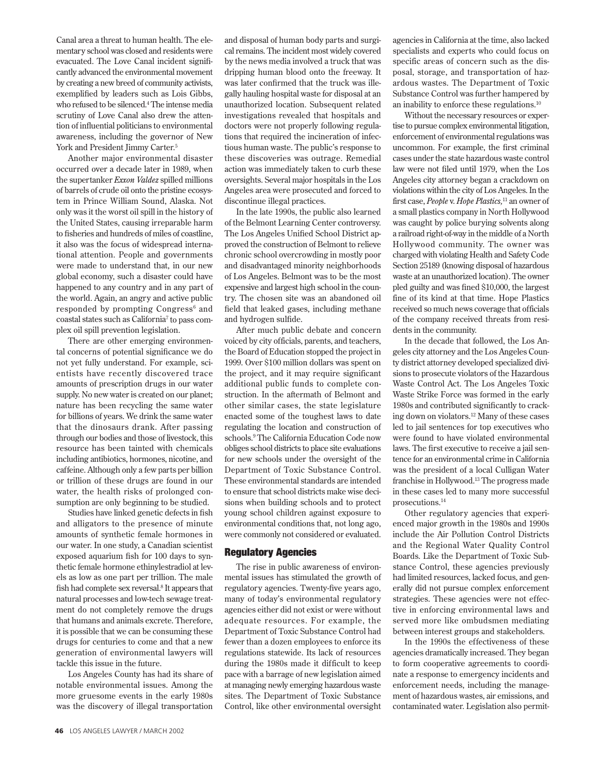Canal area a threat to human health. The elementary school was closed and residents were evacuated. The Love Canal incident significantly advanced the environmental movement by creating a new breed of community activists, exemplified by leaders such as Lois Gibbs, who refused to be silenced.4 The intense media scrutiny of Love Canal also drew the attention of influential politicians to environmental awareness, including the governor of New York and President Jimmy Carter.<sup>5</sup>

Another major environmental disaster occurred over a decade later in 1989, when the supertanker *Exxon Valdez* spilled millions of barrels of crude oil onto the pristine ecosystem in Prince William Sound, Alaska. Not only was it the worst oil spill in the history of the United States, causing irreparable harm to fisheries and hundreds of miles of coastline, it also was the focus of widespread international attention. People and governments were made to understand that, in our new global economy, such a disaster could have happened to any country and in any part of the world. Again, an angry and active public responded by prompting Congress<sup>6</sup> and coastal states such as California7 to pass complex oil spill prevention legislation.

There are other emerging environmental concerns of potential significance we do not yet fully understand. For example, scientists have recently discovered trace amounts of prescription drugs in our water supply. No new water is created on our planet; nature has been recycling the same water for billions of years. We drink the same water that the dinosaurs drank. After passing through our bodies and those of livestock, this resource has been tainted with chemicals including antibiotics, hormones, nicotine, and caffeine. Although only a few parts per billion or trillion of these drugs are found in our water, the health risks of prolonged consumption are only beginning to be studied.

Studies have linked genetic defects in fish and alligators to the presence of minute amounts of synthetic female hormones in our water. In one study, a Canadian scientist exposed aquarium fish for 100 days to synthetic female hormone ethinylestradiol at levels as low as one part per trillion. The male fish had complete sex reversal.8 It appears that natural processes and low-tech sewage treatment do not completely remove the drugs that humans and animals excrete. Therefore, it is possible that we can be consuming these drugs for centuries to come and that a new generation of environmental lawyers will tackle this issue in the future.

Los Angeles County has had its share of notable environmental issues. Among the more gruesome events in the early 1980s was the discovery of illegal transportation and disposal of human body parts and surgical remains. The incident most widely covered by the news media involved a truck that was dripping human blood onto the freeway. It was later confirmed that the truck was illegally hauling hospital waste for disposal at an unauthorized location. Subsequent related investigations revealed that hospitals and doctors were not properly following regulations that required the incineration of infectious human waste. The public's response to these discoveries was outrage. Remedial action was immediately taken to curb these oversights. Several major hospitals in the Los Angeles area were prosecuted and forced to discontinue illegal practices.

In the late 1990s, the public also learned of the Belmont Learning Center controversy. The Los Angeles Unified School District approved the construction of Belmont to relieve chronic school overcrowding in mostly poor and disadvantaged minority neighborhoods of Los Angeles. Belmont was to be the most expensive and largest high school in the country. The chosen site was an abandoned oil field that leaked gases, including methane and hydrogen sulfide.

After much public debate and concern voiced by city officials, parents, and teachers, the Board of Education stopped the project in 1999. Over \$100 million dollars was spent on the project, and it may require significant additional public funds to complete construction. In the aftermath of Belmont and other similar cases, the state legislature enacted some of the toughest laws to date regulating the location and construction of schools.9 The California Education Code now obliges school districts to place site evaluations for new schools under the oversight of the Department of Toxic Substance Control. These environmental standards are intended to ensure that school districts make wise decisions when building schools and to protect young school children against exposure to environmental conditions that, not long ago, were commonly not considered or evaluated.

#### Regulatory Agencies

The rise in public awareness of environmental issues has stimulated the growth of regulatory agencies. Twenty-five years ago, many of today's environmental regulatory agencies either did not exist or were without adequate resources. For example, the Department of Toxic Substance Control had fewer than a dozen employees to enforce its regulations statewide. Its lack of resources during the 1980s made it difficult to keep pace with a barrage of new legislation aimed at managing newly emerging hazardous waste sites. The Department of Toxic Substance Control, like other environmental oversight agencies in California at the time, also lacked specialists and experts who could focus on specific areas of concern such as the disposal, storage, and transportation of hazardous wastes. The Department of Toxic Substance Control was further hampered by an inability to enforce these regulations.10

Without the necessary resources or expertise to pursue complex environmental litigation, enforcement of environmental regulations was uncommon. For example, the first criminal cases under the state hazardous waste control law were not filed until 1979, when the Los Angeles city attorney began a crackdown on violations within the city of Los Angeles. In the first case, *People* v. *Hope Plastics,*<sup>11</sup> an owner of a small plastics company in North Hollywood was caught by police burying solvents along a railroad right-of-way in the middle of a North Hollywood community. The owner was charged with violating Health and Safety Code Section 25189 (knowing disposal of hazardous waste at an unauthorized location). The owner pled guilty and was fined \$10,000, the largest fine of its kind at that time. Hope Plastics received so much news coverage that officials of the company received threats from residents in the community.

In the decade that followed, the Los Angeles city attorney and the Los Angeles County district attorney developed specialized divisions to prosecute violators of the Hazardous Waste Control Act. The Los Angeles Toxic Waste Strike Force was formed in the early 1980s and contributed significantly to cracking down on violators.12 Many of these cases led to jail sentences for top executives who were found to have violated environmental laws. The first executive to receive a jail sentence for an environmental crime in California was the president of a local Culligan Water franchise in Hollywood.13 The progress made in these cases led to many more successful prosecutions.14

Other regulatory agencies that experienced major growth in the 1980s and 1990s include the Air Pollution Control Districts and the Regional Water Quality Control Boards. Like the Department of Toxic Substance Control, these agencies previously had limited resources, lacked focus, and generally did not pursue complex enforcement strategies. These agencies were not effective in enforcing environmental laws and served more like ombudsmen mediating between interest groups and stakeholders.

In the 1990s the effectiveness of these agencies dramatically increased. They began to form cooperative agreements to coordinate a response to emergency incidents and enforcement needs, including the management of hazardous wastes, air emissions, and contaminated water. Legislation also permit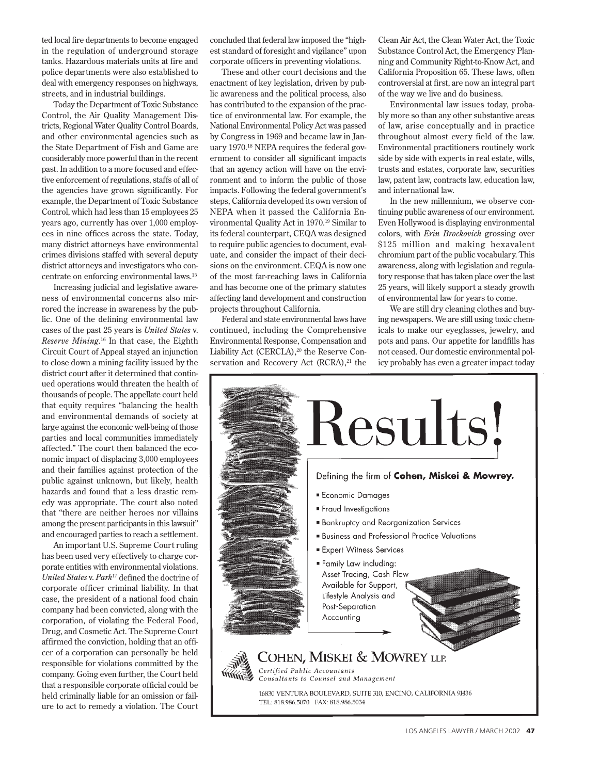ted local fire departments to become engaged in the regulation of underground storage tanks. Hazardous materials units at fire and police departments were also established to deal with emergency responses on highways, streets, and in industrial buildings.

Today the Department of Toxic Substance Control, the Air Quality Management Districts, Regional Water Quality Control Boards, and other environmental agencies such as the State Department of Fish and Game are considerably more powerful than in the recent past. In addition to a more focused and effective enforcement of regulations, staffs of all of the agencies have grown significantly. For example, the Department of Toxic Substance Control, which had less than 15 employees 25 years ago, currently has over 1,000 employees in nine offices across the state. Today, many district attorneys have environmental crimes divisions staffed with several deputy district attorneys and investigators who concentrate on enforcing environmental laws.15

Increasing judicial and legislative awareness of environmental concerns also mirrored the increase in awareness by the public. One of the defining environmental law cases of the past 25 years is *United States* v. *Reserve Mining*. <sup>16</sup> In that case, the Eighth Circuit Court of Appeal stayed an injunction to close down a mining facility issued by the district court after it determined that continued operations would threaten the health of thousands of people. The appellate court held that equity requires "balancing the health and environmental demands of society at large against the economic well-being of those parties and local communities immediately affected." The court then balanced the economic impact of displacing 3,000 employees and their families against protection of the public against unknown, but likely, health hazards and found that a less drastic remedy was appropriate. The court also noted that "there are neither heroes nor villains among the present participants in this lawsuit" and encouraged parties to reach a settlement.

An important U.S. Supreme Court ruling has been used very effectively to charge corporate entities with environmental violations. *United States* v. *Park*<sup>17</sup> defined the doctrine of corporate officer criminal liability. In that case, the president of a national food chain company had been convicted, along with the corporation, of violating the Federal Food, Drug, and Cosmetic Act. The Supreme Court affirmed the conviction, holding that an officer of a corporation can personally be held responsible for violations committed by the company. Going even further, the Court held that a responsible corporate official could be held criminally liable for an omission or failure to act to remedy a violation. The Court concluded that federal law imposed the "highest standard of foresight and vigilance" upon corporate officers in preventing violations.

These and other court decisions and the enactment of key legislation, driven by public awareness and the political process, also has contributed to the expansion of the practice of environmental law. For example, the National Environmental Policy Act was passed by Congress in 1969 and became law in January 1970.18 NEPA requires the federal government to consider all significant impacts that an agency action will have on the environment and to inform the public of those impacts. Following the federal government's steps, California developed its own version of NEPA when it passed the California Environmental Quality Act in 1970.19 Similar to its federal counterpart, CEQA was designed to require public agencies to document, evaluate, and consider the impact of their decisions on the environment. CEQA is now one of the most far-reaching laws in California and has become one of the primary statutes affecting land development and construction projects throughout California.

Federal and state environmental laws have continued, including the Comprehensive Environmental Response, Compensation and Liability Act (CERCLA),<sup>20</sup> the Reserve Conservation and Recovery Act (RCRA),<sup>21</sup> the

Clean Air Act, the Clean Water Act, the Toxic Substance Control Act, the Emergency Planning and Community Right-to-Know Act, and California Proposition 65. These laws, often controversial at first, are now an integral part of the way we live and do business.

Environmental law issues today, probably more so than any other substantive areas of law, arise conceptually and in practice throughout almost every field of the law. Environmental practitioners routinely work side by side with experts in real estate, wills, trusts and estates, corporate law, securities law, patent law, contracts law, education law, and international law.

In the new millennium, we observe continuing public awareness of our environment. Even Hollywood is displaying environmental colors, with *Erin Brockovich* grossing over \$125 million and making hexavalent chromium part of the public vocabulary. This awareness, along with legislation and regulatory response that has taken place over the last 25 years, will likely support a steady growth of environmental law for years to come.

We are still dry cleaning clothes and buying newspapers. We are still using toxic chemicals to make our eyeglasses, jewelry, and pots and pans. Our appetite for landfills has not ceased. Our domestic environmental policy probably has even a greater impact today